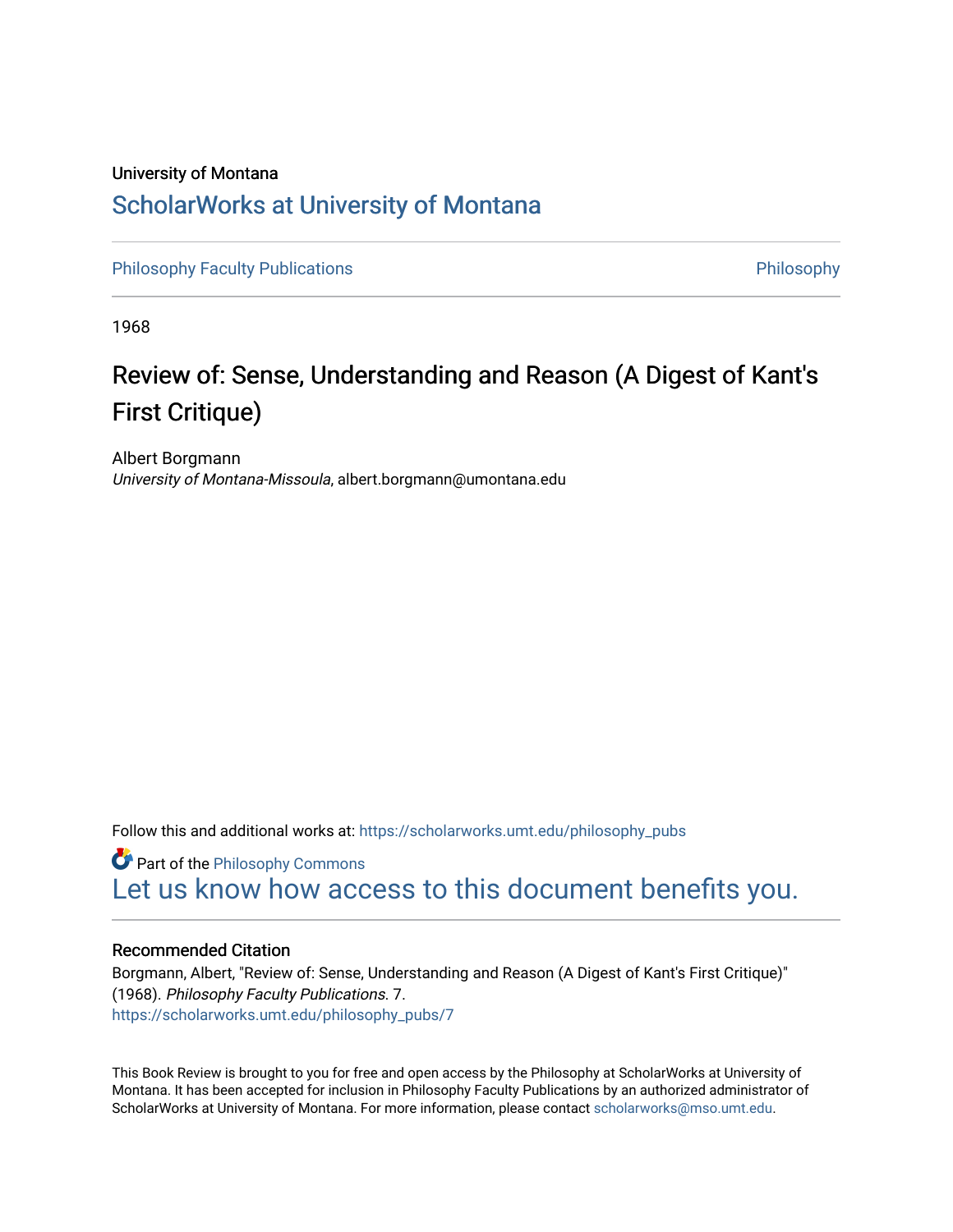## University of Montana [ScholarWorks at University of Montana](https://scholarworks.umt.edu/)

[Philosophy Faculty Publications](https://scholarworks.umt.edu/philosophy_pubs) **Philosophy** Philosophy

1968

## Review of: Sense, Understanding and Reason (A Digest of Kant's First Critique)

Albert Borgmann University of Montana-Missoula, albert.borgmann@umontana.edu

Follow this and additional works at: [https://scholarworks.umt.edu/philosophy\\_pubs](https://scholarworks.umt.edu/philosophy_pubs?utm_source=scholarworks.umt.edu%2Fphilosophy_pubs%2F7&utm_medium=PDF&utm_campaign=PDFCoverPages)

**Part of the Philosophy Commons** [Let us know how access to this document benefits you.](https://goo.gl/forms/s2rGfXOLzz71qgsB2) 

## Recommended Citation

Borgmann, Albert, "Review of: Sense, Understanding and Reason (A Digest of Kant's First Critique)" (1968). Philosophy Faculty Publications. 7. [https://scholarworks.umt.edu/philosophy\\_pubs/7](https://scholarworks.umt.edu/philosophy_pubs/7?utm_source=scholarworks.umt.edu%2Fphilosophy_pubs%2F7&utm_medium=PDF&utm_campaign=PDFCoverPages) 

This Book Review is brought to you for free and open access by the Philosophy at ScholarWorks at University of Montana. It has been accepted for inclusion in Philosophy Faculty Publications by an authorized administrator of ScholarWorks at University of Montana. For more information, please contact [scholarworks@mso.umt.edu.](mailto:scholarworks@mso.umt.edu)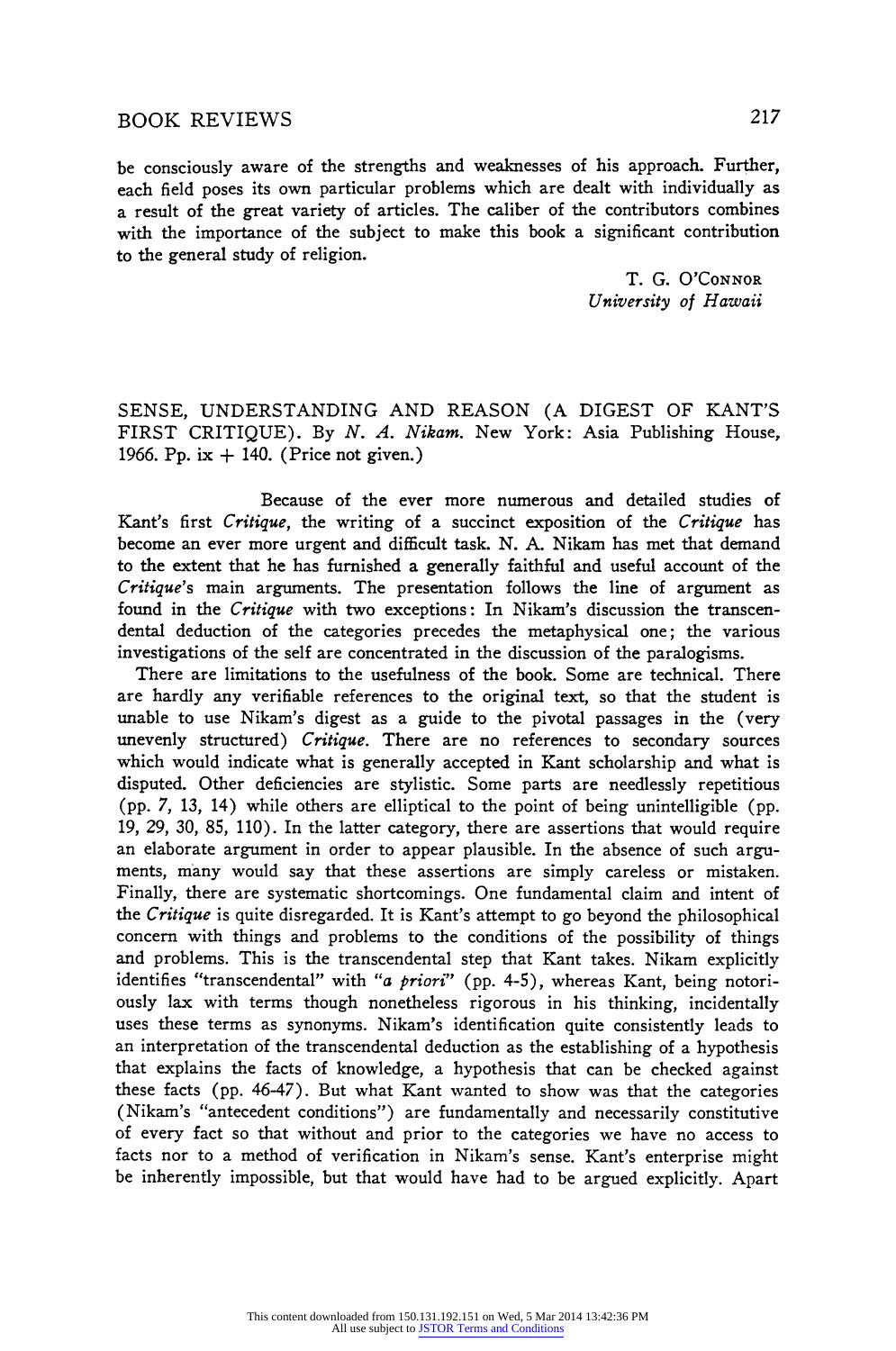**be consciously aware of the strengths and weaknesses of his approach. Further, each field poses its own particular problems which are dealt with individually as a result of the great variety of articles. The caliber of the contributors combines with the importance of the subject to make this book a significant contribution to the general study of religion.** 

> **T. G. O'CONNOR University of Hawaii**

**SENSE, UNDERSTANDING AND REASON (A DIGEST OF KANT'S FIRST CRITIQUE). By N. A. Nikam. New York: Asia Publishing House, 1966. Pp. ix + 140. (Price not given.)** 

**Because of the ever more numerous and detailed studies of Kant's first Critique, the writing of a succinct exposition of the Critique has become an ever more urgent and difficult task. N. A. Nikam has met that demand to the extent that he has furnished a generally faithful and useful account of the Critique's main arguments. The presentation follows the line of argument as found in the Critique with two exceptions: In Nikam's discussion the transcendental deduction of the categories precedes the metaphysical one; the various investigations of the self are concentrated in the discussion of the paralogisms.** 

**There are limitations to the usefulness of the book. Some are technical. There are hardly any verifiable references to the original text, so that the student is unable to use Nikam's digest as a guide to the pivotal passages in the (very unevenly structured) Critique. There are no references to secondary sources which would indicate what is generally accepted in Kant scholarship and what is disputed. Other deficiencies are stylistic. Some parts are needlessly repetitious (pp. 7, 13, 14) while others are elliptical to the point of being unintelligible (pp. 19, 29, 30, 85, 110). In the latter category, there are assertions that would require an elaborate argument in order to appear plausible. In the absence of such arguments, many would say that these assertions are simply careless or mistaken. Finally, there are systematic shortcomings. One fundamental claim and intent of the Critique is quite disregarded. It is Kant's attempt to go beyond the philosophical concern with things and problems to the conditions of the possibility of things and problems. This is the transcendental step that Kant takes. Nikam explicitly identifies "transcendental" with "a priori" (pp. 4-5), whereas Kant, being notoriously lax with terms though nonetheless rigorous in his thinking, incidentally uses these terms as synonyms. Nikam's identification quite consistently leads to an interpretation of the transcendental deduction as the establishing of a hypothesis that explains the facts of knowledge, a hypothesis that can be checked against these facts (pp. 46-47). But what Kant wanted to show was that the categories (Nikam's "antecedent conditions") are fundamentally and necessarily constitutive of every fact so that without and prior to the categories we have no access to facts nor to a method of verification in Nikam's sense. Kant's enterprise might be inherently impossible, but that would have had to be argued explicitly. Apart**